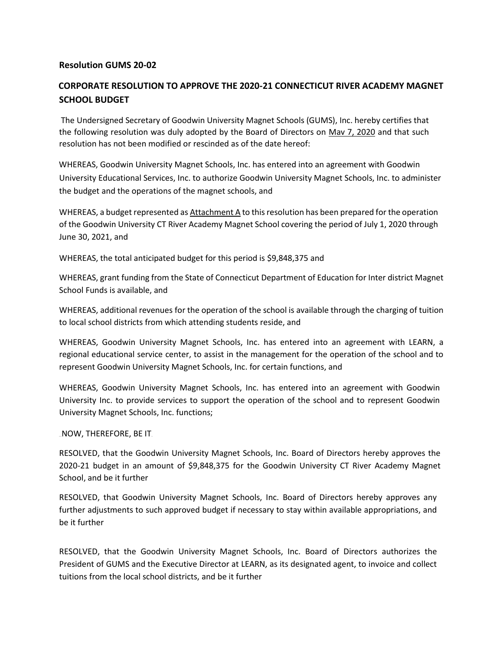## **Resolution GUMS 20-02**

## **CORPORATE RESOLUTION TO APPROVE THE 2020-21 CONNECTICUT RIVER ACADEMY MAGNET SCHOOL BUDGET**

The Undersigned Secretary of Goodwin University Magnet Schools (GUMS), Inc. hereby certifies that the following resolution was duly adopted by the Board of Directors on Mav 7, 2020 and that such resolution has not been modified or rescinded as of the date hereof:

WHEREAS, Goodwin University Magnet Schools, Inc. has entered into an agreement with Goodwin University Educational Services, Inc. to authorize Goodwin University Magnet Schools, Inc. to administer the budget and the operations of the magnet schools, and

WHEREAS, a budget represented as Attachment A to this resolution has been prepared for the operation of the Goodwin University CT River Academy Magnet School covering the period of July 1, 2020 through June 30, 2021, and

WHEREAS, the total anticipated budget for this period is \$9,848,375 and

WHEREAS, grant funding from the State of Connecticut Department of Education for Inter district Magnet School Funds is available, and

WHEREAS, additional revenues for the operation of the school is available through the charging of tuition to local school districts from which attending students reside, and

WHEREAS, Goodwin University Magnet Schools, Inc. has entered into an agreement with LEARN, a regional educational service center, to assist in the management for the operation of the school and to represent Goodwin University Magnet Schools, Inc. for certain functions, and

WHEREAS, Goodwin University Magnet Schools, Inc. has entered into an agreement with Goodwin University Inc. to provide services to support the operation of the school and to represent Goodwin University Magnet Schools, Inc. functions;

NOW, THEREFORE, BE IT

RESOLVED, that the Goodwin University Magnet Schools, Inc. Board of Directors hereby approves the 2020-21 budget in an amount of \$9,848,375 for the Goodwin University CT River Academy Magnet School, and be it further

RESOLVED, that Goodwin University Magnet Schools, Inc. Board of Directors hereby approves any further adjustments to such approved budget if necessary to stay within available appropriations, and be it further

RESOLVED, that the Goodwin University Magnet Schools, Inc. Board of Directors authorizes the President of GUMS and the Executive Director at LEARN, as its designated agent, to invoice and collect tuitions from the local school districts, and be it further